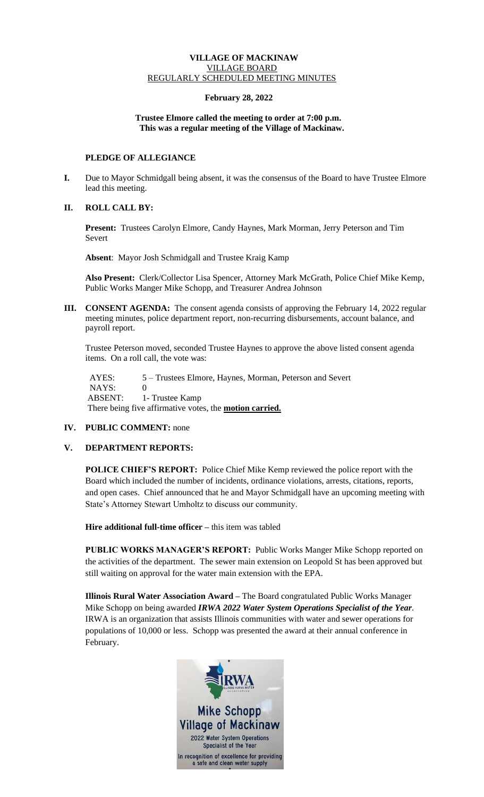### **VILLAGE OF MACKINAW** VILLAGE BOARD REGULARLY SCHEDULED MEETING MINUTES

# **February 28, 2022**

### **Trustee Elmore called the meeting to order at 7:00 p.m. This was a regular meeting of the Village of Mackinaw.**

# **PLEDGE OF ALLEGIANCE**

- **I.** Due to Mayor Schmidgall being absent, it was the consensus of the Board to have Trustee Elmore lead this meeting.
- **II. ROLL CALL BY:**

**Present:** Trustees Carolyn Elmore, Candy Haynes, Mark Morman, Jerry Peterson and Tim Severt

 **Absent**: Mayor Josh Schmidgall and Trustee Kraig Kamp

**Also Present:** Clerk/Collector Lisa Spencer, Attorney Mark McGrath, Police Chief Mike Kemp, Public Works Manger Mike Schopp, and Treasurer Andrea Johnson

**III. CONSENT AGENDA:** The consent agenda consists of approving the February 14, 2022 regular meeting minutes, police department report, non-recurring disbursements, account balance, and payroll report.

Trustee Peterson moved, seconded Trustee Haynes to approve the above listed consent agenda items. On a roll call, the vote was:

AYES: 5 – Trustees Elmore, Haynes, Morman, Peterson and Severt NAYS: 0 ABSENT: 1- Trustee Kamp There being five affirmative votes, the **motion carried.**

**IV. PUBLIC COMMENT:** none

#### **V. DEPARTMENT REPORTS:**

**POLICE CHIEF'S REPORT:** Police Chief Mike Kemp reviewed the police report with the Board which included the number of incidents, ordinance violations, arrests, citations, reports, and open cases. Chief announced that he and Mayor Schmidgall have an upcoming meeting with State's Attorney Stewart Umholtz to discuss our community.

**Hire additional full-time officer –** this item was tabled

**PUBLIC WORKS MANAGER'S REPORT:** Public Works Manger Mike Schopp reported on the activities of the department. The sewer main extension on Leopold St has been approved but still waiting on approval for the water main extension with the EPA.

**Illinois Rural Water Association Award –** The Board congratulated Public Works Manager Mike Schopp on being awarded *IRWA 2022 Water System Operations Specialist of the Year*. IRWA is an organization that assists Illinois communities with water and sewer operations for populations of 10,000 or less. Schopp was presented the award at their annual conference in February.